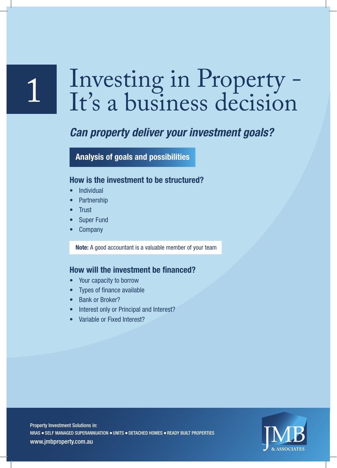## Investing in Property - It's a business decision

### *Can property deliver your investment goals?*

**Analysis of goals and possibilities**

#### **How is the investment to be structured?**

- **Individual**
- **Partnership**
- **Trust**

1

- **Super Fund**
- **Company**

**Note:** A good accountant is a valuable member of your team

#### **How will the investment be financed?**

- Your capacity to borrow
- Types of finance available
- Bank or Broker?
- Interest only or Principal and Interest?
- Variable or Fixed Interest?

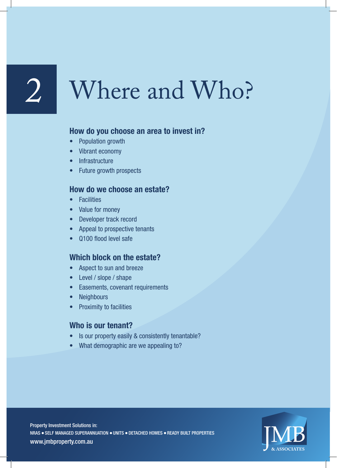## Where and Who?

#### **How do you choose an area to invest in?**

- Population growth
- Vibrant economy
- Infrastructure
- Future growth prospects

#### **How do we choose an estate?**

- Facilities
- Value for money
- Developer track record
- Appeal to prospective tenants
- Q100 flood level safe

#### **Which block on the estate?**

- Aspect to sun and breeze
- Level / slope / shape
- Easements, covenant requirements
- Neighbours
- Proximity to facilities

#### **Who is our tenant?**

- Is our property easily & consistently tenantable?
- What demographic are we appealing to?

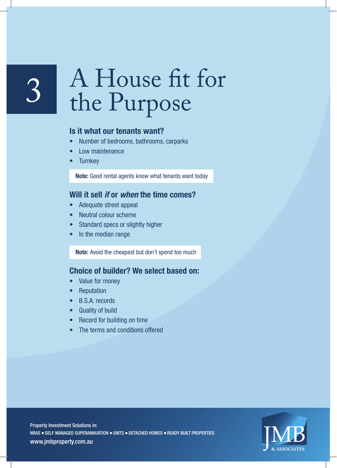## 3 A House fit for<br>the Purpose the Purpose

#### **Is it what our tenants want?**

- Number of bedrooms, bathrooms, carparks
- Low maintenance
- **Turnkey**

**Note:** Good rental agents know what tenants want today

#### **Will it sell** *if* **or** *when* **the time comes?**

- Adequate street appeal
- Neutral colour scheme
- Standard specs or slightly higher
- In the median range

**Note:** Avoid the cheapest but don't spend too much

#### **Choice of builder? We select based on:**

- Value for money
- **Reputation**
- B.S.A. records
- Quality of build
- Record for building on time
- The terms and conditions offered